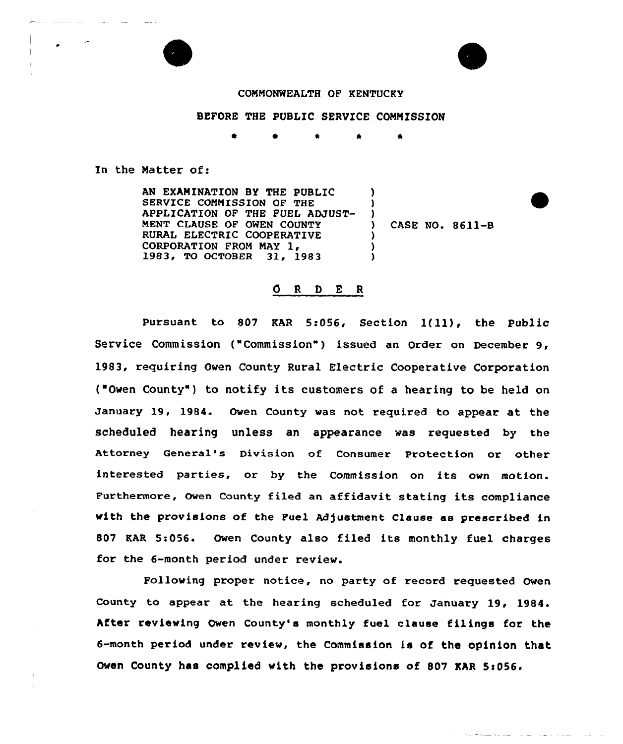



## COMMONWEALTH OF KENTUCKY

## BEFORE THE PUBLIC SERVICE COMMISSION

In the Matter of:

AN EXAMINATION BY THE PUBLIC SERVICE COMMISSION OF THE APPLICATION OF THE FUEL ADJUST-MENT CLAUSE OF OWEN COUNTY RURAL ELECTRIC COOPERATIVE<br>CORPORATION FROM MAY 1, 1983, TO OCTOBER 31, 1983 ) ) ) ) ) )

) CASE NO. 8611-B

## ORDER

Pursuant to <sup>807</sup> KAR 5:056, Section l(ll), the Public Service Commission ("Commission") issued an Order on December 9, 1983, requiring Owen County Rural Electric Cooperative Corporation ("Owen County") to notify its customers of a hearing to be held on January 19, 1984. Owen County was not required to appear at the scheduled hearing unless an appearance was requested by the Attorney General's Division of Consumer Protection or other interested parties, or by the Commission on its own motion. Furthermore, Owen County filed an affidavit stating its compliance with the provisions of the Fuel Adjustment Clause as prescribed in 807 KAR 5:056. Owen County also filed its monthly fuel charges for the 6-month period under review.

Following proper notice, no party of record requested Owen County to appear at the hearing scheduled for January 19, 1984. After reviewing Owen County's monthly fuel clause filings for the 6-month period under review, the Commission is of the opinion that Owen County has complied with the provisions of 807 KAR 5:056.